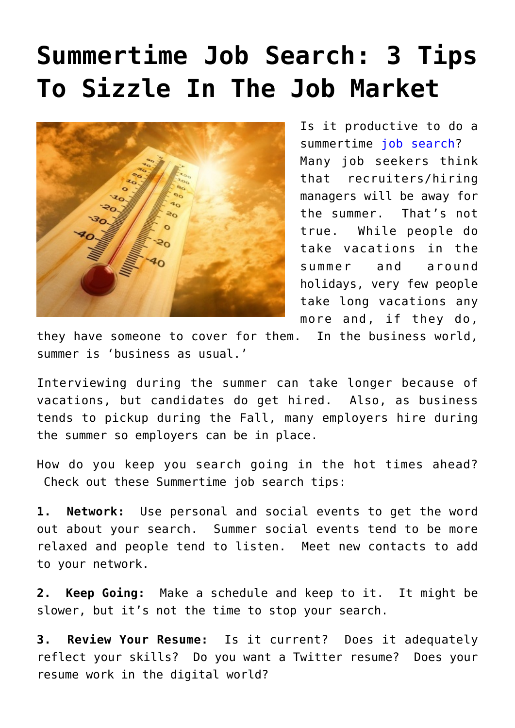## **[Summertime Job Search: 3 Tips](https://www.commpro.biz/summertime-job-search/) [To Sizzle In The Job Market](https://www.commpro.biz/summertime-job-search/)**



Is it productive to do a summertime [job search](https://www.commpro.biz/?s=job+search)? Many job seekers think that recruiters/hiring managers will be away for the summer. That's not true. While people do take vacations in the summer and around holidays, very few people take long vacations any more and, if they do,

they have someone to cover for them. In the business world, summer is 'business as usual.'

Interviewing during the summer can take longer because of vacations, but candidates do get hired. Also, as business tends to pickup during the Fall, many employers hire during the summer so employers can be in place.

How do you keep you search going in the hot times ahead? Check out these Summertime job search tips:

**1. Network:** Use personal and social events to get the word out about your search. Summer social events tend to be more relaxed and people tend to listen. Meet new contacts to add to your network.

**2. Keep Going:** Make a schedule and keep to it. It might be slower, but it's not the time to stop your search.

**3. Review Your Resume:** Is it current? Does it adequately reflect your skills? Do you want a Twitter resume? Does your resume work in the digital world?